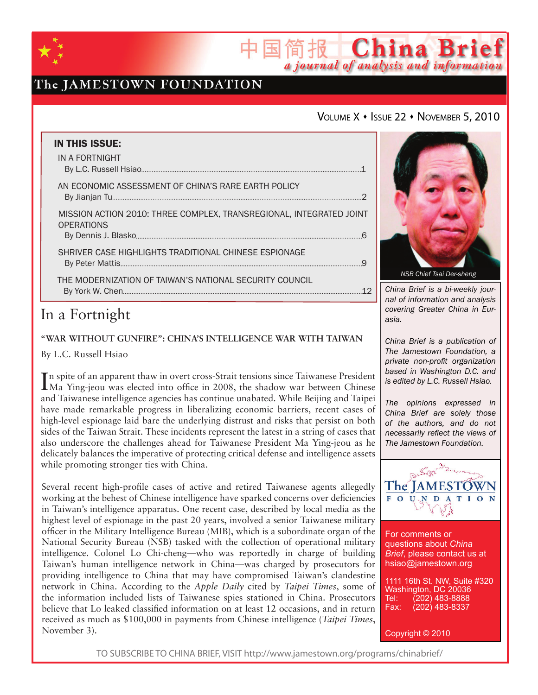

## The JAMESTOWN FOUNDATION

### VOLUME X + ISSUE 22 + NOVEMBER 5, 2010

简报 China Brief

a journal of analysis and information

| <b>IN THIS ISSUE:</b><br>IN A FORTNIGHT                                                  |   |
|------------------------------------------------------------------------------------------|---|
|                                                                                          |   |
| AN ECONOMIC ASSESSMENT OF CHINA'S RARE EARTH POLICY                                      | っ |
| MISSION ACTION 2010: THREE COMPLEX, TRANSREGIONAL, INTEGRATED JOINT<br><b>OPERATIONS</b> |   |
| SHRIVER CASE HIGHLIGHTS TRADITIONAL CHINESE ESPIONAGE                                    |   |
| THE MODERNIZATION OF TAIWAN'S NATIONAL SECURITY COUNCIL                                  |   |

## In a Fortnight

**"War without Gunfire": China's INTELLIGENCE WAR WITH TAIWAN**

By L.C. Russell Hsiao

In spite of an apparent thaw in overt cross-Strait tensions since Taiwanese President Ma Ying-jeou was elected into office in 2008, the shadow war between Chinese Ma Ying-jeou was elected into office in 2008, the shadow war between Chinese and Taiwanese intelligence agencies has continue unabated. While Beijing and Taipei have made remarkable progress in liberalizing economic barriers, recent cases of high-level espionage laid bare the underlying distrust and risks that persist on both sides of the Taiwan Strait. These incidents represent the latest in a string of cases that also underscore the challenges ahead for Taiwanese President Ma Ying-jeou as he delicately balances the imperative of protecting critical defense and intelligence assets while promoting stronger ties with China.

Several recent high-profile cases of active and retired Taiwanese agents allegedly working at the behest of Chinese intelligence have sparked concerns over deficiencies in Taiwan's intelligence apparatus. One recent case, described by local media as the highest level of espionage in the past 20 years, involved a senior Taiwanese military officer in the Military Intelligence Bureau (MIB), which is a subordinate organ of the National Security Bureau (NSB) tasked with the collection of operational military intelligence. Colonel Lo Chi-cheng—who was reportedly in charge of building Taiwan's human intelligence network in China—was charged by prosecutors for providing intelligence to China that may have compromised Taiwan's clandestine network in China. According to the *Apple Daily* cited by *Taipei Times*, some of the information included lists of Taiwanese spies stationed in China. Prosecutors believe that Lo leaked classified information on at least 12 occasions, and in return received as much as \$100,000 in payments from Chinese intelligence (*Taipei Times*, November 3).



*China Brief is a bi-weekly journal of information and analysis covering Greater China in Eurasia.* 

*China Brief is a publication of The Jamestown Foundation, a private non-profit organization based in Washington D.C. and is edited by L.C. Russell Hsiao.*

*The opinions expressed in China Brief are solely those of the authors, and do not necessarily reflect the views of The Jamestown Foundation.*



For comments or questions about *China Brief*, please contact us at hsiao@jamestown.org

1111 16th St. NW, Suite #320 Washington, DC 20036<br>Tel: (202) 483-8888 Tel: (202) 483-8888<br>Fax: (202) 483-8337 Fax: (202) 483-8337

Copyright © 2010

TO SUBSCRIBE TO CHINA BRIEF, VISIT http://www.jamestown.org/programs/chinabrief/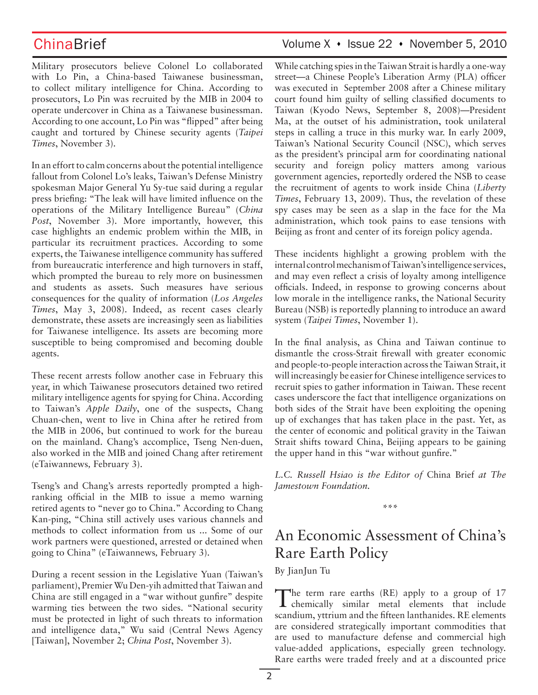Military prosecutors believe Colonel Lo collaborated with Lo Pin, a China-based Taiwanese businessman, to collect military intelligence for China. According to prosecutors, Lo Pin was recruited by the MIB in 2004 to operate undercover in China as a Taiwanese businessman. According to one account, Lo Pin was "flipped" after being caught and tortured by Chinese security agents (*Taipei Times*, November 3).

In an effort to calm concerns about the potential intelligence fallout from Colonel Lo's leaks, Taiwan's Defense Ministry spokesman Major General Yu Sy-tue said during a regular press briefing: "The leak will have limited influence on the operations of the Military Intelligence Bureau" (*China*  Post, November 3). More importantly, however, this case highlights an endemic problem within the MIB, in particular its recruitment practices. According to some experts, the Taiwanese intelligence community has suffered from bureaucratic interference and high turnovers in staff, which prompted the bureau to rely more on businessmen and students as assets. Such measures have serious consequences for the quality of information (*Los Angeles Times*, May 3, 2008). Indeed, as recent cases clearly demonstrate, these assets are increasingly seen as liabilities for Taiwanese intelligence. Its assets are becoming more susceptible to being compromised and becoming double agents.

These recent arrests follow another case in February this year, in which Taiwanese prosecutors detained two retired military intelligence agents for spying for China. According to Taiwan's *Apple Daily*, one of the suspects, Chang Chuan-chen, went to live in China after he retired from the MIB in 2006, but continued to work for the bureau on the mainland. Chang's accomplice, Tseng Nen-duen, also worked in the MIB and joined Chang after retirement (eTaiwannews*,* February 3).

Tseng's and Chang's arrests reportedly prompted a highranking official in the MIB to issue a memo warning retired agents to "never go to China." According to Chang Kan-ping, "China still actively uses various channels and methods to collect information from us ... Some of our work partners were questioned, arrested or detained when going to China" (eTaiwannews*,* February 3).

During a recent session in the Legislative Yuan (Taiwan's parliament), Premier Wu Den-yih admitted that Taiwan and China are still engaged in a "war without gunfire" despite warming ties between the two sides. "National security must be protected in light of such threats to information and intelligence data," Wu said (Central News Agency [Taiwan], November 2; *China Post*, November 3).

## ChinaBrief Volume X · Issue 22 · November 5, 2010

While catching spies in the Taiwan Strait is hardly a one-way street—a Chinese People's Liberation Army (PLA) officer was executed in September 2008 after a Chinese military court found him guilty of selling classified documents to Taiwan (Kyodo News, September 8, 2008)—President Ma, at the outset of his administration, took unilateral steps in calling a truce in this murky war. In early 2009, Taiwan's National Security Council (NSC), which serves as the president's principal arm for coordinating national security and foreign policy matters among various government agencies, reportedly ordered the NSB to cease the recruitment of agents to work inside China (*Liberty Times*, February 13, 2009). Thus, the revelation of these spy cases may be seen as a slap in the face for the Ma administration, which took pains to ease tensions with Beijing as front and center of its foreign policy agenda.

These incidents highlight a growing problem with the internal control mechanism of Taiwan's intelligence services, and may even reflect a crisis of loyalty among intelligence officials. Indeed, in response to growing concerns about low morale in the intelligence ranks, the National Security Bureau (NSB) is reportedly planning to introduce an award system (*Taipei Times*, November 1).

In the final analysis, as China and Taiwan continue to dismantle the cross-Strait firewall with greater economic and people-to-people interaction across the Taiwan Strait, it will increasingly be easier for Chinese intelligence services to recruit spies to gather information in Taiwan. These recent cases underscore the fact that intelligence organizations on both sides of the Strait have been exploiting the opening up of exchanges that has taken place in the past. Yet, as the center of economic and political gravity in the Taiwan Strait shifts toward China, Beijing appears to be gaining the upper hand in this "war without gunfire."

*L.C. Russell Hsiao is the Editor of* China Brief *at The Jamestown Foundation.*

**\*\*\***

# An Economic Assessment of China's Rare Earth Policy

By JianJun Tu

The term rare earths (RE) apply to a group of 17 chemically similar metal elements that include scandium, yttrium and the fifteen lanthanides. RE elements are considered strategically important commodities that are used to manufacture defense and commercial high value-added applications, especially green technology. Rare earths were traded freely and at a discounted price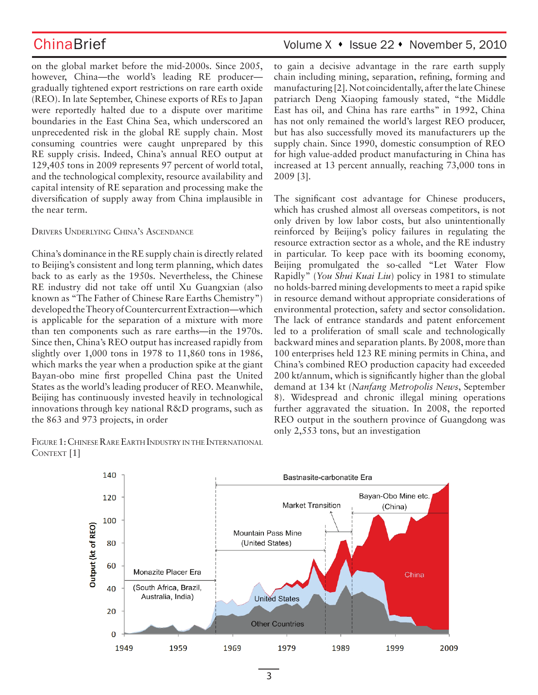on the global market before the mid-2000s. Since 2005, however, China—the world's leading RE producer gradually tightened export restrictions on rare earth oxide (REO). In late September, Chinese exports of REs to Japan were reportedly halted due to a dispute over maritime boundaries in the East China Sea, which underscored an unprecedented risk in the global RE supply chain. Most consuming countries were caught unprepared by this RE supply crisis. Indeed, China's annual REO output at 129,405 tons in 2009 represents 97 percent of world total, and the technological complexity, resource availability and capital intensity of RE separation and processing make the diversification of supply away from China implausible in the near term.

Drivers Underlying China's Ascendance

China's dominance in the RE supply chain is directly related to Beijing's consistent and long term planning, which dates back to as early as the 1950s. Nevertheless, the Chinese RE industry did not take off until Xu Guangxian (also known as "The Father of Chinese Rare Earths Chemistry") developed the Theory of Countercurrent Extraction—which is applicable for the separation of a mixture with more than ten components such as rare earths—in the 1970s. Since then, China's REO output has increased rapidly from slightly over 1,000 tons in 1978 to 11,860 tons in 1986, which marks the year when a production spike at the giant Bayan-obo mine first propelled China past the United States as the world's leading producer of REO. Meanwhile, Beijing has continuously invested heavily in technological innovations through key national R&D programs, such as the 863 and 973 projects, in order

Figure 1: Chinese Rare Earth Industry in the International CONTEXT<sup>[1]</sup>

## ChinaBrief Volume X • Issue 22 • November 5, 2010

to gain a decisive advantage in the rare earth supply chain including mining, separation, refining, forming and manufacturing [2]. Not coincidentally, after the late Chinese patriarch Deng Xiaoping famously stated, "the Middle East has oil, and China has rare earths" in 1992, China has not only remained the world's largest REO producer, but has also successfully moved its manufacturers up the supply chain. Since 1990, domestic consumption of REO for high value-added product manufacturing in China has increased at 13 percent annually, reaching 73,000 tons in 2009 [3].

The significant cost advantage for Chinese producers, which has crushed almost all overseas competitors, is not only driven by low labor costs, but also unintentionally reinforced by Beijing's policy failures in regulating the resource extraction sector as a whole, and the RE industry in particular. To keep pace with its booming economy, Beijing promulgated the so-called "Let Water Flow Rapidly" (*You Shui Kuai Liu*) policy in 1981 to stimulate no holds-barred mining developments to meet a rapid spike in resource demand without appropriate considerations of environmental protection, safety and sector consolidation. The lack of entrance standards and patent enforcement led to a proliferation of small scale and technologically backward mines and separation plants. By 2008, more than 100 enterprises held 123 RE mining permits in China, and China's combined REO production capacity had exceeded 200 kt/annum, which is significantly higher than the global demand at 134 kt (*Nanfang Metropolis News*, September 8). Widespread and chronic illegal mining operations further aggravated the situation. In 2008, the reported REO output in the southern province of Guangdong was only 2,553 tons, but an investigation

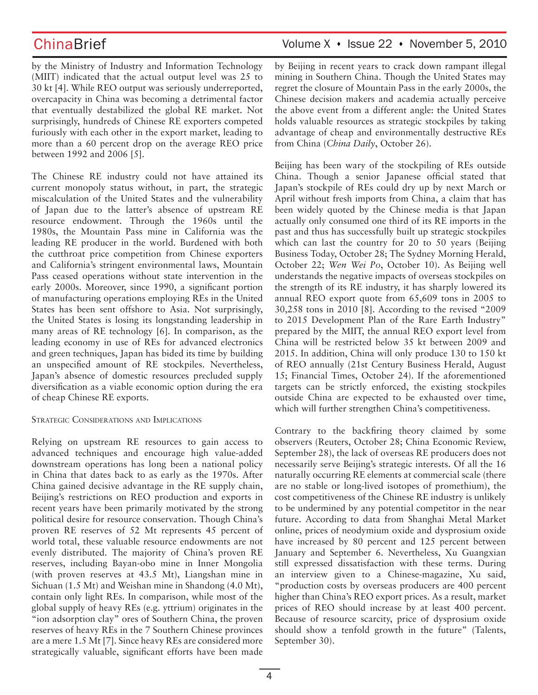by the Ministry of Industry and Information Technology (MIIT) indicated that the actual output level was 25 to 30 kt [4]. While REO output was seriously underreported, overcapacity in China was becoming a detrimental factor that eventually destabilized the global RE market. Not surprisingly, hundreds of Chinese RE exporters competed furiously with each other in the export market, leading to more than a 60 percent drop on the average REO price between 1992 and 2006 [5].

The Chinese RE industry could not have attained its current monopoly status without, in part, the strategic miscalculation of the United States and the vulnerability of Japan due to the latter's absence of upstream RE resource endowment. Through the 1960s until the 1980s, the Mountain Pass mine in California was the leading RE producer in the world. Burdened with both the cutthroat price competition from Chinese exporters and California's stringent environmental laws, Mountain Pass ceased operations without state intervention in the early 2000s. Moreover, since 1990, a significant portion of manufacturing operations employing REs in the United States has been sent offshore to Asia. Not surprisingly, the United States is losing its longstanding leadership in many areas of RE technology [6]. In comparison, as the leading economy in use of REs for advanced electronics and green techniques, Japan has bided its time by building an unspecified amount of RE stockpiles. Nevertheless, Japan's absence of domestic resources precluded supply diversification as a viable economic option during the era of cheap Chinese RE exports.

### Strategic Considerations and Implications

Relying on upstream RE resources to gain access to advanced techniques and encourage high value-added downstream operations has long been a national policy in China that dates back to as early as the 1970s. After China gained decisive advantage in the RE supply chain, Beijing's restrictions on REO production and exports in recent years have been primarily motivated by the strong political desire for resource conservation. Though China's proven RE reserves of 52 Mt represents 45 percent of world total, these valuable resource endowments are not evenly distributed. The majority of China's proven RE reserves, including Bayan-obo mine in Inner Mongolia (with proven reserves at 43.5 Mt), Liangshan mine in Sichuan (1.5 Mt) and Weishan mine in Shandong (4.0 Mt), contain only light REs. In comparison, while most of the global supply of heavy REs (e.g. yttrium) originates in the "ion adsorption clay" ores of Southern China, the proven reserves of heavy REs in the 7 Southern Chinese provinces are a mere 1.5 Mt [7]. Since heavy REs are considered more strategically valuable, significant efforts have been made

## ChinaBrief Volume X • Issue 22 • November 5, 2010

by Beijing in recent years to crack down rampant illegal mining in Southern China. Though the United States may regret the closure of Mountain Pass in the early 2000s, the Chinese decision makers and academia actually perceive the above event from a different angle: the United States holds valuable resources as strategic stockpiles by taking advantage of cheap and environmentally destructive REs from China (*China Daily*, October 26).

Beijing has been wary of the stockpiling of REs outside China. Though a senior Japanese official stated that Japan's stockpile of REs could dry up by next March or April without fresh imports from China, a claim that has been widely quoted by the Chinese media is that Japan actually only consumed one third of its RE imports in the past and thus has successfully built up strategic stockpiles which can last the country for 20 to 50 years (Beijing Business Today, October 28; The Sydney Morning Herald, October 22; *Wen Wei Po*, October 10). As Beijing well understands the negative impacts of overseas stockpiles on the strength of its RE industry, it has sharply lowered its annual REO export quote from 65,609 tons in 2005 to 30,258 tons in 2010 [8]. According to the revised "2009 to 2015 Development Plan of the Rare Earth Industry" prepared by the MIIT, the annual REO export level from China will be restricted below 35 kt between 2009 and 2015. In addition, China will only produce 130 to 150 kt of REO annually (21st Century Business Herald, August 15; Financial Times, October 24). If the aforementioned targets can be strictly enforced, the existing stockpiles outside China are expected to be exhausted over time, which will further strengthen China's competitiveness.

Contrary to the backfiring theory claimed by some observers (Reuters, October 28; China Economic Review, September 28), the lack of overseas RE producers does not necessarily serve Beijing's strategic interests. Of all the 16 naturally occurring RE elements at commercial scale (there are no stable or long-lived isotopes of promethium), the cost competitiveness of the Chinese RE industry is unlikely to be undermined by any potential competitor in the near future. According to data from Shanghai Metal Market online, prices of neodymium oxide and dysprosium oxide have increased by 80 percent and 125 percent between January and September 6. Nevertheless, Xu Guangxian still expressed dissatisfaction with these terms. During an interview given to a Chinese-magazine, Xu said, "production costs by overseas producers are 400 percent higher than China's REO export prices. As a result, market prices of REO should increase by at least 400 percent. Because of resource scarcity, price of dysprosium oxide should show a tenfold growth in the future" (Talents, September 30).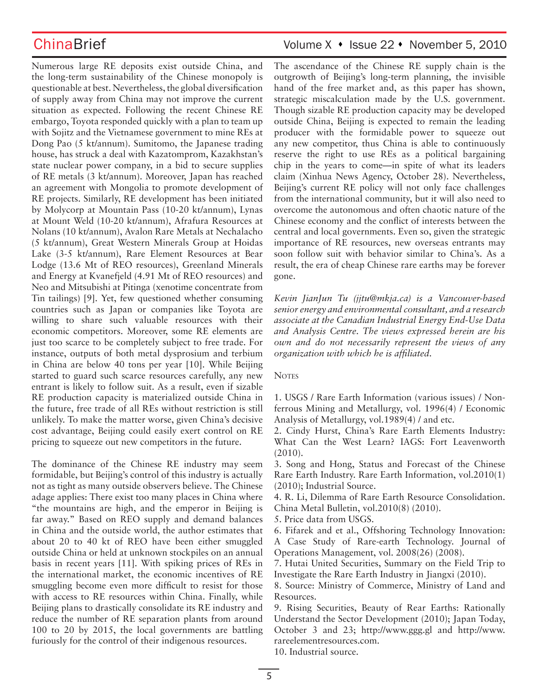Numerous large RE deposits exist outside China, and the long-term sustainability of the Chinese monopoly is questionable at best. Nevertheless, the global diversification of supply away from China may not improve the current situation as expected. Following the recent Chinese RE embargo, Toyota responded quickly with a plan to team up with Sojitz and the Vietnamese government to mine REs at Dong Pao (5 kt/annum). Sumitomo, the Japanese trading house, has struck a deal with Kazatomprom, Kazakhstan's state nuclear power company, in a bid to secure supplies of RE metals (3 kt/annum). Moreover, Japan has reached an agreement with Mongolia to promote development of RE projects. Similarly, RE development has been initiated by Molycorp at Mountain Pass (10-20 kt/annum), Lynas at Mount Weld (10-20 kt/annum), Afrafura Resources at Nolans (10 kt/annum), Avalon Rare Metals at Nechalacho (5 kt/annum), Great Western Minerals Group at Hoidas Lake (3-5 kt/annum), Rare Element Resources at Bear Lodge (13.6 Mt of REO resources), Greenland Minerals and Energy at Kvanefjeld (4.91 Mt of REO resources) and Neo and Mitsubishi at Pitinga (xenotime concentrate from Tin tailings) [9]. Yet, few questioned whether consuming countries such as Japan or companies like Toyota are willing to share such valuable resources with their economic competitors. Moreover, some RE elements are just too scarce to be completely subject to free trade. For instance, outputs of both metal dysprosium and terbium in China are below 40 tons per year [10]. While Beijing started to guard such scarce resources carefully, any new entrant is likely to follow suit. As a result, even if sizable RE production capacity is materialized outside China in the future, free trade of all REs without restriction is still unlikely. To make the matter worse, given China's decisive cost advantage, Beijing could easily exert control on RE pricing to squeeze out new competitors in the future.

The dominance of the Chinese RE industry may seem formidable, but Beijing's control of this industry is actually not as tight as many outside observers believe. The Chinese adage applies: There exist too many places in China where "the mountains are high, and the emperor in Beijing is far away." Based on REO supply and demand balances in China and the outside world, the author estimates that about 20 to 40 kt of REO have been either smuggled outside China or held at unknown stockpiles on an annual basis in recent years [11]. With spiking prices of REs in the international market, the economic incentives of RE smuggling become even more difficult to resist for those with access to RE resources within China. Finally, while Beijing plans to drastically consolidate its RE industry and reduce the number of RE separation plants from around 100 to 20 by 2015, the local governments are battling furiously for the control of their indigenous resources.

## ChinaBrief Volume X • Issue 22 • November 5, 2010

The ascendance of the Chinese RE supply chain is the outgrowth of Beijing's long-term planning, the invisible hand of the free market and, as this paper has shown, strategic miscalculation made by the U.S. government. Though sizable RE production capacity may be developed outside China, Beijing is expected to remain the leading producer with the formidable power to squeeze out any new competitor, thus China is able to continuously reserve the right to use REs as a political bargaining chip in the years to come—in spite of what its leaders claim (Xinhua News Agency, October 28). Nevertheless, Beijing's current RE policy will not only face challenges from the international community, but it will also need to overcome the autonomous and often chaotic nature of the Chinese economy and the conflict of interests between the central and local governments. Even so, given the strategic importance of RE resources, new overseas entrants may soon follow suit with behavior similar to China's. As a result, the era of cheap Chinese rare earths may be forever gone.

*Kevin JianJun Tu (jjtu@mkja.ca) is a Vancouver-based senior energy and environmental consultant, and a research associate at the Canadian Industrial Energy End-Use Data and Analysis Centre. The views expressed herein are his own and do not necessarily represent the views of any organization with which he is affiliated.* 

### **NOTES**

1. USGS / Rare Earth Information (various issues) / Nonferrous Mining and Metallurgy, vol. 1996(4) / Economic Analysis of Metallurgy, vol.1989(4) / and etc.

2. Cindy Hurst, China's Rare Earth Elements Industry: What Can the West Learn? IAGS: Fort Leavenworth (2010).

3. Song and Hong, Status and Forecast of the Chinese Rare Earth Industry. Rare Earth Information, vol.2010(1) (2010); Industrial Source.

4. R. Li, Dilemma of Rare Earth Resource Consolidation. China Metal Bulletin, vol.2010(8) (2010).

5. Price data from USGS.

6. Fifarek and et al., Offshoring Technology Innovation: A Case Study of Rare-earth Technology. Journal of Operations Management, vol. 2008(26) (2008).

7. Hutai United Securities, Summary on the Field Trip to Investigate the Rare Earth Industry in Jiangxi (2010).

8. Source: Ministry of Commerce, Ministry of Land and Resources.

9. Rising Securities, Beauty of Rear Earths: Rationally Understand the Sector Development (2010); Japan Today, October 3 and 23; http://www.ggg.gl and http://www. rareelementresources.com.

10. Industrial source.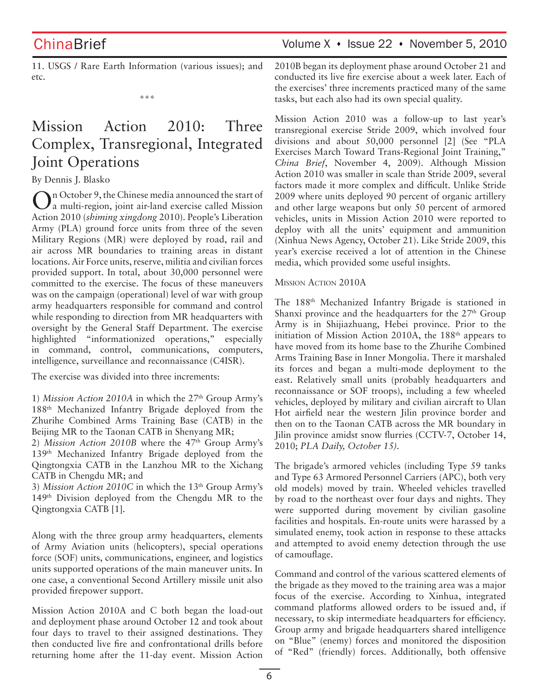ChinaBrief Volume X · Issue 22 · November 5, 2010

11. USGS / Rare Earth Information (various issues); and etc.

\*\*\*

# Mission Action 2010: Three Complex, Transregional, Integrated Joint Operations

### By Dennis J. Blasko

On October 9, the Chinese media announced the start of a multi-region, joint air-land exercise called Mission Action 2010 (*shiming xingdong* 2010). People's Liberation Army (PLA) ground force units from three of the seven Military Regions (MR) were deployed by road, rail and air across MR boundaries to training areas in distant locations. Air Force units, reserve, militia and civilian forces provided support. In total, about 30,000 personnel were committed to the exercise. The focus of these maneuvers was on the campaign (operational) level of war with group army headquarters responsible for command and control while responding to direction from MR headquarters with oversight by the General Staff Department. The exercise highlighted "informationized operations," especially in command, control, communications, computers, intelligence, surveillance and reconnaissance (C4ISR).

The exercise was divided into three increments:

1) *Mission Action 2010A* in which the 27<sup>th</sup> Group Army's 188th Mechanized Infantry Brigade deployed from the Zhurihe Combined Arms Training Base (CATB) in the Beijing MR to the Taonan CATB in Shenyang MR;

2) *Mission Action 2010B* where the 47<sup>th</sup> Group Army's 139th Mechanized Infantry Brigade deployed from the Qingtongxia CATB in the Lanzhou MR to the Xichang CATB in Chengdu MR; and

3) *Mission Action 2010C* in which the 13<sup>th</sup> Group Army's 149th Division deployed from the Chengdu MR to the Qingtongxia CATB [1].

Along with the three group army headquarters, elements of Army Aviation units (helicopters), special operations force (SOF) units, communications, engineer, and logistics units supported operations of the main maneuver units. In one case, a conventional Second Artillery missile unit also provided firepower support.

Mission Action 2010A and C both began the load-out and deployment phase around October 12 and took about four days to travel to their assigned destinations. They then conducted live fire and confrontational drills before returning home after the 11-day event. Mission Action 2010B began its deployment phase around October 21 and conducted its live fire exercise about a week later. Each of the exercises' three increments practiced many of the same tasks, but each also had its own special quality.

Mission Action 2010 was a follow-up to last year's transregional exercise Stride 2009, which involved four divisions and about 50,000 personnel [2] (See "PLA Exercises March Toward Trans-Regional Joint Training," *China Brief*, November 4, 2009). Although Mission Action 2010 was smaller in scale than Stride 2009, several factors made it more complex and difficult. Unlike Stride 2009 where units deployed 90 percent of organic artillery and other large weapons but only 50 percent of armored vehicles, units in Mission Action 2010 were reported to deploy with all the units' equipment and ammunition (Xinhua News Agency, October 21). Like Stride 2009, this year's exercise received a lot of attention in the Chinese media, which provided some useful insights.

### Mission Action 2010A

The 188th Mechanized Infantry Brigade is stationed in Shanxi province and the headquarters for the 27<sup>th</sup> Group Army is in Shijiazhuang, Hebei province. Prior to the initiation of Mission Action 2010A, the 188<sup>th</sup> appears to have moved from its home base to the Zhurihe Combined Arms Training Base in Inner Mongolia. There it marshaled its forces and began a multi-mode deployment to the east. Relatively small units (probably headquarters and reconnaissance or SOF troops), including a few wheeled vehicles, deployed by military and civilian aircraft to Ulan Hot airfield near the western Jilin province border and then on to the Taonan CATB across the MR boundary in Jilin province amidst snow flurries (CCTV-7, October 14, 2010; *PLA Daily, October 15).*

The brigade's armored vehicles (including Type 59 tanks and Type 63 Armored Personnel Carriers (APC), both very old models) moved by train. Wheeled vehicles travelled by road to the northeast over four days and nights. They were supported during movement by civilian gasoline facilities and hospitals. En-route units were harassed by a simulated enemy, took action in response to these attacks and attempted to avoid enemy detection through the use of camouflage.

Command and control of the various scattered elements of the brigade as they moved to the training area was a major focus of the exercise. According to Xinhua, integrated command platforms allowed orders to be issued and, if necessary, to skip intermediate headquarters for efficiency. Group army and brigade headquarters shared intelligence on "Blue" (enemy) forces and monitored the disposition of "Red" (friendly) forces. Additionally, both offensive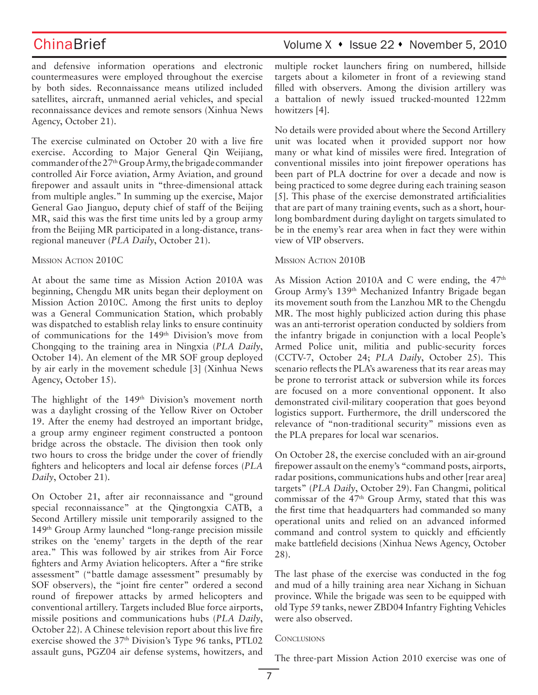and defensive information operations and electronic countermeasures were employed throughout the exercise by both sides. Reconnaissance means utilized included satellites, aircraft, unmanned aerial vehicles, and special reconnaissance devices and remote sensors (Xinhua News Agency, October 21).

The exercise culminated on October 20 with a live fire exercise. According to Major General Qin Weijiang, commander of the 27<sup>th</sup> Group Army, the brigade commander controlled Air Force aviation, Army Aviation, and ground firepower and assault units in "three-dimensional attack from multiple angles." In summing up the exercise, Major General Gao Jianguo, deputy chief of staff of the Beijing MR, said this was the first time units led by a group army from the Beijing MR participated in a long-distance, transregional maneuver (*PLA Daily*, October 21).

### Mission Action 2010C

At about the same time as Mission Action 2010A was beginning, Chengdu MR units began their deployment on Mission Action 2010C. Among the first units to deploy was a General Communication Station, which probably was dispatched to establish relay links to ensure continuity of communications for the 149<sup>th</sup> Division's move from Chongqing to the training area in Ningxia (*PLA Daily*, October 14). An element of the MR SOF group deployed by air early in the movement schedule [3] (Xinhua News Agency, October 15).

The highlight of the 149<sup>th</sup> Division's movement north was a daylight crossing of the Yellow River on October 19. After the enemy had destroyed an important bridge, a group army engineer regiment constructed a pontoon bridge across the obstacle. The division then took only two hours to cross the bridge under the cover of friendly fighters and helicopters and local air defense forces (*PLA Daily*, October 21).

On October 21, after air reconnaissance and "ground special reconnaissance" at the Qingtongxia CATB, a Second Artillery missile unit temporarily assigned to the 149th Group Army launched "long-range precision missile strikes on the 'enemy' targets in the depth of the rear area." This was followed by air strikes from Air Force fighters and Army Aviation helicopters. After a "fire strike assessment" ("battle damage assessment" presumably by SOF observers), the "joint fire center" ordered a second round of firepower attacks by armed helicopters and conventional artillery. Targets included Blue force airports, missile positions and communications hubs (*PLA Daily*, October 22). A Chinese television report about this live fire exercise showed the 37th Division's Type 96 tanks, PTL02 assault guns, PGZ04 air defense systems, howitzers, and

## ChinaBrief Volume X • Issue 22 • November 5, 2010

multiple rocket launchers firing on numbered, hillside targets about a kilometer in front of a reviewing stand filled with observers. Among the division artillery was a battalion of newly issued trucked-mounted 122mm howitzers [4].

No details were provided about where the Second Artillery unit was located when it provided support nor how many or what kind of missiles were fired. Integration of conventional missiles into joint firepower operations has been part of PLA doctrine for over a decade and now is being practiced to some degree during each training season [5]. This phase of the exercise demonstrated artificialities that are part of many training events, such as a short, hourlong bombardment during daylight on targets simulated to be in the enemy's rear area when in fact they were within view of VIP observers.

### Mission Action 2010B

As Mission Action 2010A and C were ending, the 47<sup>th</sup> Group Army's 139th Mechanized Infantry Brigade began its movement south from the Lanzhou MR to the Chengdu MR. The most highly publicized action during this phase was an anti-terrorist operation conducted by soldiers from the infantry brigade in conjunction with a local People's Armed Police unit, militia and public-security forces (CCTV-7, October 24; *PLA Daily*, October 25). This scenario reflects the PLA's awareness that its rear areas may be prone to terrorist attack or subversion while its forces are focused on a more conventional opponent. It also demonstrated civil-military cooperation that goes beyond logistics support. Furthermore, the drill underscored the relevance of "non-traditional security" missions even as the PLA prepares for local war scenarios.

On October 28, the exercise concluded with an air-ground firepower assault on the enemy's "command posts, airports, radar positions, communications hubs and other [rear area] targets" (*PLA Daily*, October 29). Fan Changmi, political commissar of the 47th Group Army, stated that this was the first time that headquarters had commanded so many operational units and relied on an advanced informed command and control system to quickly and efficiently make battlefield decisions (Xinhua News Agency, October 28).

The last phase of the exercise was conducted in the fog and mud of a hilly training area near Xichang in Sichuan province. While the brigade was seen to be equipped with old Type 59 tanks, newer ZBD04 Infantry Fighting Vehicles were also observed.

### **CONCLUSIONS**

The three-part Mission Action 2010 exercise was one of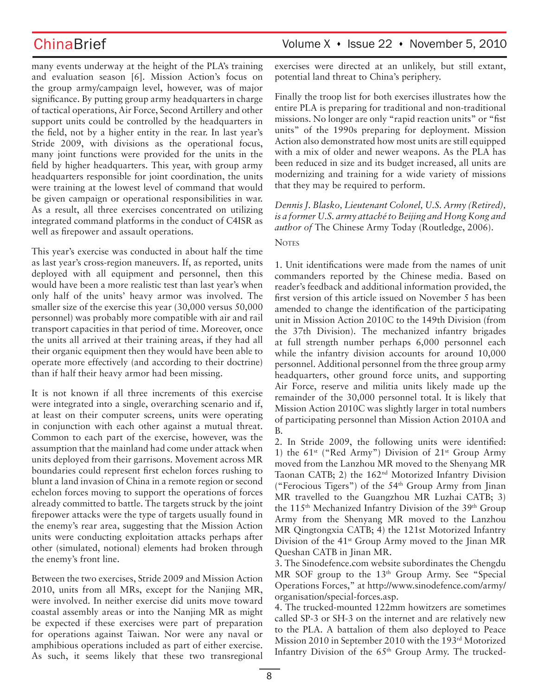many events underway at the height of the PLA's training and evaluation season [6]. Mission Action's focus on the group army/campaign level, however, was of major significance. By putting group army headquarters in charge of tactical operations, Air Force, Second Artillery and other support units could be controlled by the headquarters in the field, not by a higher entity in the rear. In last year's Stride 2009, with divisions as the operational focus, many joint functions were provided for the units in the field by higher headquarters. This year, with group army headquarters responsible for joint coordination, the units were training at the lowest level of command that would be given campaign or operational responsibilities in war. As a result, all three exercises concentrated on utilizing integrated command platforms in the conduct of C4ISR as well as firepower and assault operations.

This year's exercise was conducted in about half the time as last year's cross-region maneuvers. If, as reported, units deployed with all equipment and personnel, then this would have been a more realistic test than last year's when only half of the units' heavy armor was involved. The smaller size of the exercise this year (30,000 versus 50,000 personnel) was probably more compatible with air and rail transport capacities in that period of time. Moreover, once the units all arrived at their training areas, if they had all their organic equipment then they would have been able to operate more effectively (and according to their doctrine) than if half their heavy armor had been missing.

It is not known if all three increments of this exercise were integrated into a single, overarching scenario and if, at least on their computer screens, units were operating in conjunction with each other against a mutual threat. Common to each part of the exercise, however, was the assumption that the mainland had come under attack when units deployed from their garrisons. Movement across MR boundaries could represent first echelon forces rushing to blunt a land invasion of China in a remote region or second echelon forces moving to support the operations of forces already committed to battle. The targets struck by the joint firepower attacks were the type of targets usually found in the enemy's rear area, suggesting that the Mission Action units were conducting exploitation attacks perhaps after other (simulated, notional) elements had broken through the enemy's front line.

Between the two exercises, Stride 2009 and Mission Action 2010, units from all MRs, except for the Nanjing MR, were involved. In neither exercise did units move toward coastal assembly areas or into the Nanjing MR as might be expected if these exercises were part of preparation for operations against Taiwan. Nor were any naval or amphibious operations included as part of either exercise. As such, it seems likely that these two transregional

## ChinaBrief Volume X · Issue 22 · November 5, 2010

exercises were directed at an unlikely, but still extant, potential land threat to China's periphery.

Finally the troop list for both exercises illustrates how the entire PLA is preparing for traditional and non-traditional missions. No longer are only "rapid reaction units" or "fist units" of the 1990s preparing for deployment. Mission Action also demonstrated how most units are still equipped with a mix of older and newer weapons. As the PLA has been reduced in size and its budget increased, all units are modernizing and training for a wide variety of missions that they may be required to perform.

*Dennis J. Blasko, Lieutenant Colonel, U.S. Army (Retired), is a former U.S. army attaché to Beijing and Hong Kong and author of* The Chinese Army Today (Routledge, 2006).

### **NOTES**

1. Unit identifications were made from the names of unit commanders reported by the Chinese media. Based on reader's feedback and additional information provided, the first version of this article issued on November 5 has been amended to change the identification of the participating unit in Mission Action 2010C to the 149th Division (from the 37th Division). The mechanized infantry brigades at full strength number perhaps 6,000 personnel each while the infantry division accounts for around 10,000 personnel. Additional personnel from the three group army headquarters, other ground force units, and supporting Air Force, reserve and militia units likely made up the remainder of the 30,000 personnel total. It is likely that Mission Action 2010C was slightly larger in total numbers of participating personnel than Mission Action 2010A and B.

2. In Stride 2009, the following units were identified: 1) the  $61^{st}$  ("Red Army") Division of  $21^{st}$  Group Army moved from the Lanzhou MR moved to the Shenyang MR Taonan CATB; 2) the 162nd Motorized Infantry Division ("Ferocious Tigers") of the 54th Group Army from Jinan MR travelled to the Guangzhou MR Luzhai CATB; 3) the 115<sup>th</sup> Mechanized Infantry Division of the 39<sup>th</sup> Group Army from the Shenyang MR moved to the Lanzhou MR Qingtongxia CATB; 4) the 121st Motorized Infantry Division of the 41<sup>st</sup> Group Army moved to the Jinan MR Queshan CATB in Jinan MR.

3. The Sinodefence.com website subordinates the Chengdu MR SOF group to the 13<sup>th</sup> Group Army. See "Special Operations Forces," at http://www.sinodefence.com/army/ organisation/special-forces.asp.

4. The trucked-mounted 122mm howitzers are sometimes called SP-3 or SH-3 on the internet and are relatively new to the PLA. A battalion of them also deployed to Peace Mission 2010 in September 2010 with the 193rd Motorized Infantry Division of the 65th Group Army. The trucked-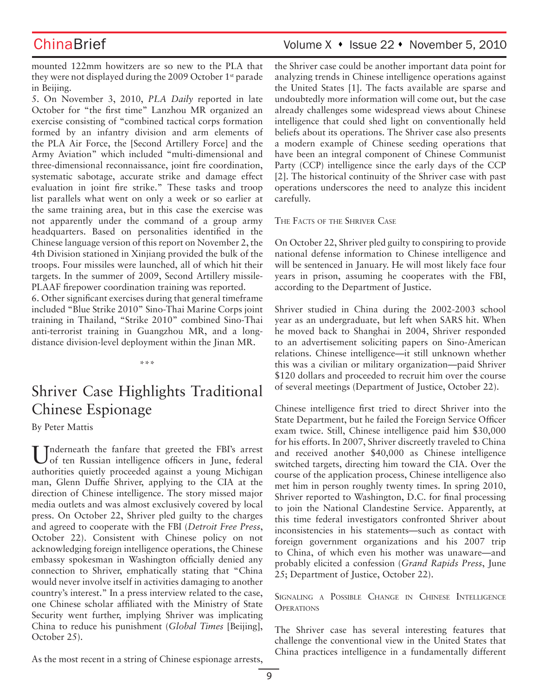mounted 122mm howitzers are so new to the PLA that they were not displayed during the 2009 October 1<sup>st</sup> parade in Beijing.

5. On November 3, 2010, *PLA Daily* reported in late October for "the first time" Lanzhou MR organized an exercise consisting of "combined tactical corps formation formed by an infantry division and arm elements of the PLA Air Force, the [Second Artillery Force] and the Army Aviation" which included "multi-dimensional and three-dimensional reconnaissance, joint fire coordination, systematic sabotage, accurate strike and damage effect evaluation in joint fire strike." These tasks and troop list parallels what went on only a week or so earlier at the same training area, but in this case the exercise was not apparently under the command of a group army headquarters. Based on personalities identified in the Chinese language version of this report on November 2, the 4th Division stationed in Xinjiang provided the bulk of the troops. Four missiles were launched, all of which hit their targets. In the summer of 2009, Second Artillery missile-PLAAF firepower coordination training was reported.

6. Other significant exercises during that general timeframe included "Blue Strike 2010" Sino-Thai Marine Corps joint training in Thailand, "Strike 2010" combined Sino-Thai anti-terrorist training in Guangzhou MR, and a longdistance division-level deployment within the Jinan MR.

# Shriver Case Highlights Traditional Chinese Espionage

\*\*\*

By Peter Mattis

 $\prod_{\text{of ten Proposition 1}:}$  that greeted the FBI's arrest of ten Russian intelligence officers in June, federal authorities quietly proceeded against a young Michigan man, Glenn Duffie Shriver, applying to the CIA at the direction of Chinese intelligence. The story missed major media outlets and was almost exclusively covered by local press. On October 22, Shriver pled guilty to the charges and agreed to cooperate with the FBI (*Detroit Free Press*, October 22). Consistent with Chinese policy on not acknowledging foreign intelligence operations, the Chinese embassy spokesman in Washington officially denied any connection to Shriver, emphatically stating that "China would never involve itself in activities damaging to another country's interest." In a press interview related to the case, one Chinese scholar affiliated with the Ministry of State Security went further, implying Shriver was implicating China to reduce his punishment (*Global Times* [Beijing], October 25).

ChinaBrief Volume X • Issue 22 • November 5, 2010

the Shriver case could be another important data point for analyzing trends in Chinese intelligence operations against the United States [1]. The facts available are sparse and undoubtedly more information will come out, but the case already challenges some widespread views about Chinese intelligence that could shed light on conventionally held beliefs about its operations. The Shriver case also presents a modern example of Chinese seeding operations that have been an integral component of Chinese Communist Party (CCP) intelligence since the early days of the CCP [2]. The historical continuity of the Shriver case with past operations underscores the need to analyze this incident carefully.

The Facts of the Shriver Case

On October 22, Shriver pled guilty to conspiring to provide national defense information to Chinese intelligence and will be sentenced in January. He will most likely face four years in prison, assuming he cooperates with the FBI, according to the Department of Justice.

Shriver studied in China during the 2002-2003 school year as an undergraduate, but left when SARS hit. When he moved back to Shanghai in 2004, Shriver responded to an advertisement soliciting papers on Sino-American relations. Chinese intelligence—it still unknown whether this was a civilian or military organization—paid Shriver \$120 dollars and proceeded to recruit him over the course of several meetings (Department of Justice, October 22).

Chinese intelligence first tried to direct Shriver into the State Department, but he failed the Foreign Service Officer exam twice. Still, Chinese intelligence paid him \$30,000 for his efforts. In 2007, Shriver discreetly traveled to China and received another \$40,000 as Chinese intelligence switched targets, directing him toward the CIA. Over the course of the application process, Chinese intelligence also met him in person roughly twenty times. In spring 2010, Shriver reported to Washington, D.C. for final processing to join the National Clandestine Service. Apparently, at this time federal investigators confronted Shriver about inconsistencies in his statements—such as contact with foreign government organizations and his 2007 trip to China, of which even his mother was unaware—and probably elicited a confession (*Grand Rapids Press*, June 25; Department of Justice, October 22).

Signaling <sup>a</sup> Possible Change in Chinese Intelligence **OPERATIONS** 

The Shriver case has several interesting features that challenge the conventional view in the United States that China practices intelligence in a fundamentally different

As the most recent in a string of Chinese espionage arrests,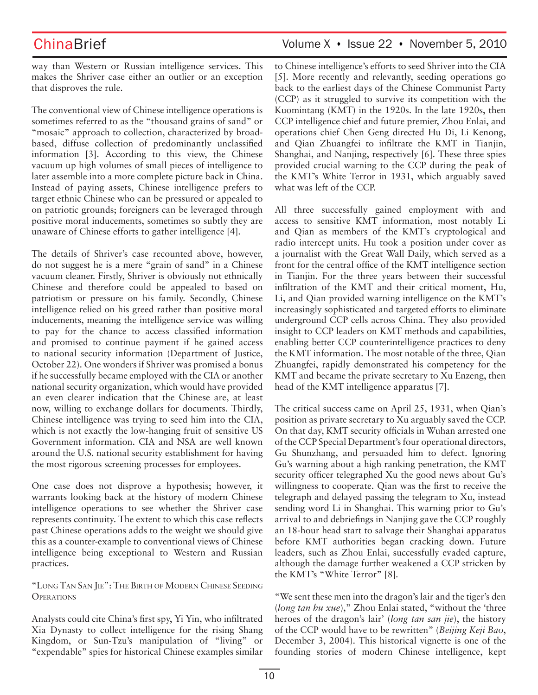way than Western or Russian intelligence services. This makes the Shriver case either an outlier or an exception that disproves the rule.

The conventional view of Chinese intelligence operations is sometimes referred to as the "thousand grains of sand" or "mosaic" approach to collection, characterized by broadbased, diffuse collection of predominantly unclassified information [3]. According to this view, the Chinese vacuum up high volumes of small pieces of intelligence to later assemble into a more complete picture back in China. Instead of paying assets, Chinese intelligence prefers to target ethnic Chinese who can be pressured or appealed to on patriotic grounds; foreigners can be leveraged through positive moral inducements, sometimes so subtly they are unaware of Chinese efforts to gather intelligence [4].

The details of Shriver's case recounted above, however, do not suggest he is a mere "grain of sand" in a Chinese vacuum cleaner. Firstly, Shriver is obviously not ethnically Chinese and therefore could be appealed to based on patriotism or pressure on his family. Secondly, Chinese intelligence relied on his greed rather than positive moral inducements, meaning the intelligence service was willing to pay for the chance to access classified information and promised to continue payment if he gained access to national security information (Department of Justice, October 22). One wonders if Shriver was promised a bonus if he successfully became employed with the CIA or another national security organization, which would have provided an even clearer indication that the Chinese are, at least now, willing to exchange dollars for documents. Thirdly, Chinese intelligence was trying to seed him into the CIA, which is not exactly the low-hanging fruit of sensitive US Government information. CIA and NSA are well known around the U.S. national security establishment for having the most rigorous screening processes for employees.

One case does not disprove a hypothesis; however, it warrants looking back at the history of modern Chinese intelligence operations to see whether the Shriver case represents continuity. The extent to which this case reflects past Chinese operations adds to the weight we should give this as a counter-example to conventional views of Chinese intelligence being exceptional to Western and Russian practices.

"Long Tan San Jie": The Birth of Modern Chinese Seeding **OPERATIONS** 

Analysts could cite China's first spy, Yi Yin, who infiltrated Xia Dynasty to collect intelligence for the rising Shang Kingdom, or Sun-Tzu's manipulation of "living" or "expendable" spies for historical Chinese examples similar

## ChinaBrief Volume X · Issue 22 · November 5, 2010

to Chinese intelligence's efforts to seed Shriver into the CIA [5]. More recently and relevantly, seeding operations go back to the earliest days of the Chinese Communist Party (CCP) as it struggled to survive its competition with the Kuomintang (KMT) in the 1920s. In the late 1920s, then CCP intelligence chief and future premier, Zhou Enlai, and operations chief Chen Geng directed Hu Di, Li Kenong, and Qian Zhuangfei to infiltrate the KMT in Tianjin, Shanghai, and Nanjing, respectively [6]. These three spies provided crucial warning to the CCP during the peak of the KMT's White Terror in 1931, which arguably saved what was left of the CCP.

All three successfully gained employment with and access to sensitive KMT information, most notably Li and Qian as members of the KMT's cryptological and radio intercept units. Hu took a position under cover as a journalist with the Great Wall Daily, which served as a front for the central office of the KMT intelligence section in Tianjin. For the three years between their successful infiltration of the KMT and their critical moment, Hu, Li, and Qian provided warning intelligence on the KMT's increasingly sophisticated and targeted efforts to eliminate underground CCP cells across China. They also provided insight to CCP leaders on KMT methods and capabilities, enabling better CCP counterintelligence practices to deny the KMT information. The most notable of the three, Qian Zhuangfei, rapidly demonstrated his competency for the KMT and became the private secretary to Xu Enzeng, then head of the KMT intelligence apparatus [7].

The critical success came on April 25, 1931, when Qian's position as private secretary to Xu arguably saved the CCP. On that day, KMT security officials in Wuhan arrested one of the CCP Special Department's four operational directors, Gu Shunzhang, and persuaded him to defect. Ignoring Gu's warning about a high ranking penetration, the KMT security officer telegraphed Xu the good news about Gu's willingness to cooperate. Qian was the first to receive the telegraph and delayed passing the telegram to Xu, instead sending word Li in Shanghai. This warning prior to Gu's arrival to and debriefings in Nanjing gave the CCP roughly an 18-hour head start to salvage their Shanghai apparatus before KMT authorities began cracking down. Future leaders, such as Zhou Enlai, successfully evaded capture, although the damage further weakened a CCP stricken by the KMT's "White Terror" [8].

"We sent these men into the dragon's lair and the tiger's den (*long tan hu xue*)," Zhou Enlai stated, "without the 'three heroes of the dragon's lair' (*long tan san jie*), the history of the CCP would have to be rewritten" (*Beijing Keji Bao*, December 3, 2004). This historical vignette is one of the founding stories of modern Chinese intelligence, kept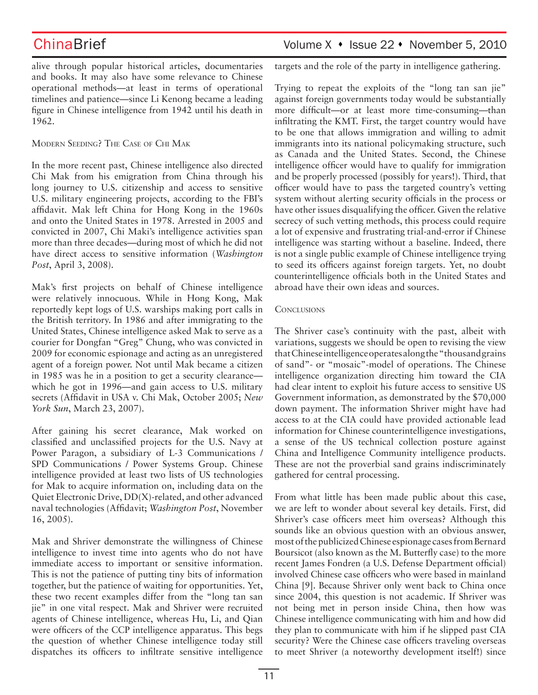alive through popular historical articles, documentaries and books. It may also have some relevance to Chinese operational methods—at least in terms of operational timelines and patience—since Li Kenong became a leading figure in Chinese intelligence from 1942 until his death in 1962.

### Modern Seeding? The Case of Chi Mak

In the more recent past, Chinese intelligence also directed Chi Mak from his emigration from China through his long journey to U.S. citizenship and access to sensitive U.S. military engineering projects, according to the FBI's affidavit. Mak left China for Hong Kong in the 1960s and onto the United States in 1978. Arrested in 2005 and convicted in 2007, Chi Maki's intelligence activities span more than three decades—during most of which he did not have direct access to sensitive information (*Washington Post*, April 3, 2008).

Mak's first projects on behalf of Chinese intelligence were relatively innocuous. While in Hong Kong, Mak reportedly kept logs of U.S. warships making port calls in the British territory. In 1986 and after immigrating to the United States, Chinese intelligence asked Mak to serve as a courier for Dongfan "Greg" Chung, who was convicted in 2009 for economic espionage and acting as an unregistered agent of a foreign power. Not until Mak became a citizen in 1985 was he in a position to get a security clearance which he got in 1996—and gain access to U.S. military secrets (Affidavit in USA v. Chi Mak, October 2005; *New York Sun*, March 23, 2007).

After gaining his secret clearance, Mak worked on classified and unclassified projects for the U.S. Navy at Power Paragon, a subsidiary of L-3 Communications / SPD Communications / Power Systems Group. Chinese intelligence provided at least two lists of US technologies for Mak to acquire information on, including data on the Quiet Electronic Drive, DD(X)-related, and other advanced naval technologies (Affidavit; *Washington Post*, November 16, 2005).

Mak and Shriver demonstrate the willingness of Chinese intelligence to invest time into agents who do not have immediate access to important or sensitive information. This is not the patience of putting tiny bits of information together, but the patience of waiting for opportunities. Yet, these two recent examples differ from the "long tan san jie" in one vital respect. Mak and Shriver were recruited agents of Chinese intelligence, whereas Hu, Li, and Qian were officers of the CCP intelligence apparatus. This begs the question of whether Chinese intelligence today still dispatches its officers to infiltrate sensitive intelligence

## ChinaBrief Volume X • Issue 22 • November 5, 2010

targets and the role of the party in intelligence gathering.

Trying to repeat the exploits of the "long tan san jie" against foreign governments today would be substantially more difficult—or at least more time-consuming—than infiltrating the KMT. First, the target country would have to be one that allows immigration and willing to admit immigrants into its national policymaking structure, such as Canada and the United States. Second, the Chinese intelligence officer would have to qualify for immigration and be properly processed (possibly for years!). Third, that officer would have to pass the targeted country's vetting system without alerting security officials in the process or have other issues disqualifying the officer. Given the relative secrecy of such vetting methods, this process could require a lot of expensive and frustrating trial-and-error if Chinese intelligence was starting without a baseline. Indeed, there is not a single public example of Chinese intelligence trying to seed its officers against foreign targets. Yet, no doubt counterintelligence officials both in the United States and abroad have their own ideas and sources.

### **CONCLUSIONS**

The Shriver case's continuity with the past, albeit with variations, suggests we should be open to revising the view that Chinese intelligence operates along the "thousand grains of sand"- or "mosaic"-model of operations. The Chinese intelligence organization directing him toward the CIA had clear intent to exploit his future access to sensitive US Government information, as demonstrated by the \$70,000 down payment. The information Shriver might have had access to at the CIA could have provided actionable lead information for Chinese counterintelligence investigations, a sense of the US technical collection posture against China and Intelligence Community intelligence products. These are not the proverbial sand grains indiscriminately gathered for central processing.

From what little has been made public about this case, we are left to wonder about several key details. First, did Shriver's case officers meet him overseas? Although this sounds like an obvious question with an obvious answer, most of the publicized Chinese espionage cases from Bernard Boursicot (also known as the M. Butterfly case) to the more recent James Fondren (a U.S. Defense Department official) involved Chinese case officers who were based in mainland China [9]. Because Shriver only went back to China once since 2004, this question is not academic. If Shriver was not being met in person inside China, then how was Chinese intelligence communicating with him and how did they plan to communicate with him if he slipped past CIA security? Were the Chinese case officers traveling overseas to meet Shriver (a noteworthy development itself!) since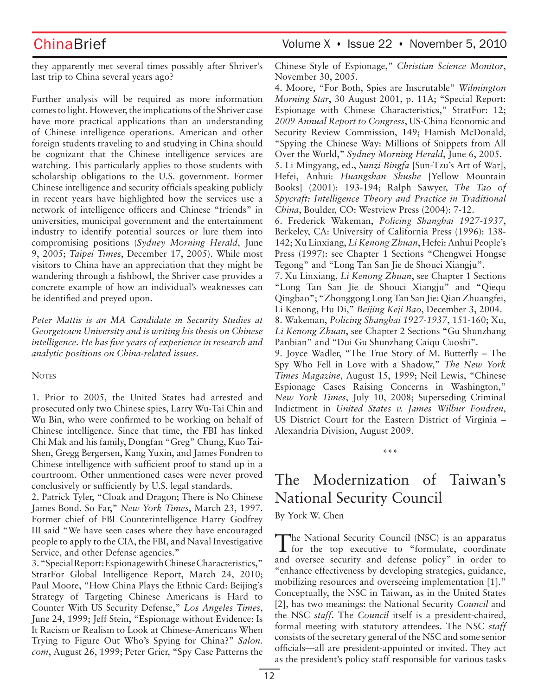ChinaBrief Volume X • Issue 22 • November 5, 2010

they apparently met several times possibly after Shriver's last trip to China several years ago?

Further analysis will be required as more information comes to light. However, the implications of the Shriver case have more practical applications than an understanding of Chinese intelligence operations. American and other foreign students traveling to and studying in China should be cognizant that the Chinese intelligence services are watching. This particularly applies to those students with scholarship obligations to the U.S. government. Former Chinese intelligence and security officials speaking publicly in recent years have highlighted how the services use a network of intelligence officers and Chinese "friends" in universities, municipal government and the entertainment industry to identify potential sources or lure them into compromising positions (*Sydney Morning Herald*, June 9, 2005; *Taipei Times*, December 17, 2005). While most visitors to China have an appreciation that they might be wandering through a fishbowl, the Shriver case provides a concrete example of how an individual's weaknesses can be identified and preyed upon.

*Peter Mattis is an MA Candidate in Security Studies at Georgetown University and is writing his thesis on Chinese intelligence. He has five years of experience in research and analytic positions on China-related issues.*

### **NOTES**

1. Prior to 2005, the United States had arrested and prosecuted only two Chinese spies, Larry Wu-Tai Chin and Wu Bin, who were confirmed to be working on behalf of Chinese intelligence. Since that time, the FBI has linked Chi Mak and his family, Dongfan "Greg" Chung, Kuo Tai-Shen, Gregg Bergersen, Kang Yuxin, and James Fondren to Chinese intelligence with sufficient proof to stand up in a courtroom. Other unmentioned cases were never proved conclusively or sufficiently by U.S. legal standards.

2. Patrick Tyler, "Cloak and Dragon; There is No Chinese James Bond. So Far," *New York Times*, March 23, 1997. Former chief of FBI Counterintelligence Harry Godfrey III said "We have seen cases where they have encouraged people to apply to the CIA, the FBI, and Naval Investigative Service, and other Defense agencies."

3. "Special Report: Espionage with Chinese Characteristics," StratFor Global Intelligence Report, March 24, 2010; Paul Moore, "How China Plays the Ethnic Card: Beijing's Strategy of Targeting Chinese Americans is Hard to Counter With US Security Defense," *Los Angeles Times*, June 24, 1999; Jeff Stein, "Espionage without Evidence: Is It Racism or Realism to Look at Chinese-Americans When Trying to Figure Out Who's Spying for China?" *Salon. com*, August 26, 1999; Peter Grier, "Spy Case Patterns the Chinese Style of Espionage," *Christian Science Monitor*, November 30, 2005.

4. Moore, "For Both, Spies are Inscrutable" *Wilmington Morning Star*, 30 August 2001, p. 11A; "Special Report: Espionage with Chinese Characteristics," StratFor: 12; *2009 Annual Report to Congress*, US-China Economic and Security Review Commission, 149; Hamish McDonald, "Spying the Chinese Way: Millions of Snippets from All Over the World," *Sydney Morning Herald*, June 6, 2005. 5. Li Mingyang, ed., *Sunzi Bingfa* [Sun-Tzu's Art of War], Hefei, Anhui: *Huangshan Shushe* [Yellow Mountain Books] (2001): 193-194; Ralph Sawyer, *The Tao of Spycraft: Intelligence Theory and Practice in Traditional China*, Boulder, CO: Westview Press (2004): 7-12. 6. Frederick Wakeman, *Policing Shanghai 1927-1937*, Berkeley, CA: University of California Press (1996): 138- 142; Xu Linxiang, *Li Kenong Zhuan*, Hefei: Anhui People's Press (1997): see Chapter 1 Sections "Chengwei Hongse

Tegong" and "Long Tan San Jie de Shouci Xiangju". 7. Xu Linxiang, *Li Kenong Zhuan*, see Chapter 1 Sections "Long Tan San Jie de Shouci Xiangju" and "Qiequ Qingbao"; "Zhonggong Long Tan San Jie: Qian Zhuangfei, Li Kenong, Hu Di," *Beijing Keji Bao*, December 3, 2004.

8. Wakeman, *Policing Shanghai 1927-1937*, 151-160; Xu, *Li Kenong Zhuan*, see Chapter 2 Sections "Gu Shunzhang Panbian" and "Dui Gu Shunzhang Caiqu Cuoshi".

9. Joyce Wadler, "The True Story of M. Butterfly – The Spy Who Fell in Love with a Shadow," *The New York Times Magazine*, August 15, 1999; Neil Lewis, "Chinese Espionage Cases Raising Concerns in Washington," *New York Times*, July 10, 2008; Superseding Criminal Indictment in *United States v. James Wilbur Fondren*, US District Court for the Eastern District of Virginia – Alexandria Division, August 2009.

\*\*\*

# The Modernization of Taiwan's National Security Council

By York W. Chen

The National Security Council (NSC) is an apparatus for the top executive to "formulate, coordinate and oversee security and defense policy" in order to "enhance effectiveness by developing strategies, guidance, mobilizing resources and overseeing implementation [1]." Conceptually, the NSC in Taiwan, as in the United States [2], has two meanings: the National Security *Council* and the NSC *staff*. The *Council* itself is a president-chaired, formal meeting with statutory attendees. The NSC *staff* consists of the secretary general of the NSC and some senior officials—all are president-appointed or invited. They act as the president's policy staff responsible for various tasks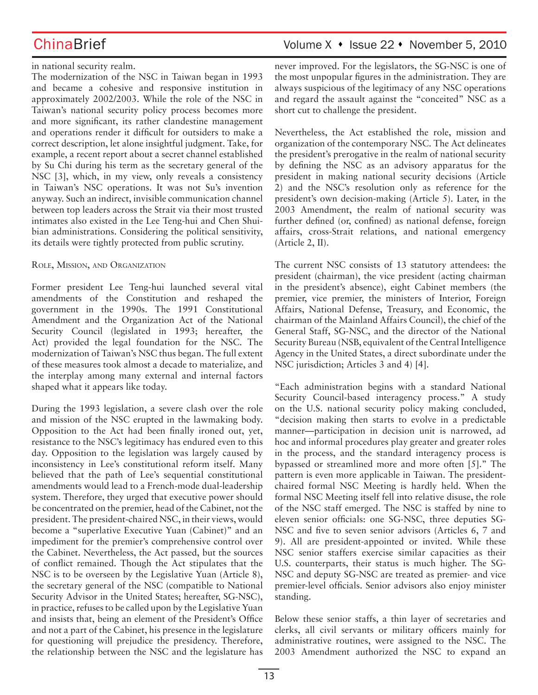# ChinaBrief Volume X • Issue 22 • November 5, 2010

### in national security realm.

The modernization of the NSC in Taiwan began in 1993 and became a cohesive and responsive institution in approximately 2002/2003. While the role of the NSC in Taiwan's national security policy process becomes more and more significant, its rather clandestine management and operations render it difficult for outsiders to make a correct description, let alone insightful judgment. Take, for example, a recent report about a secret channel established by Su Chi during his term as the secretary general of the NSC [3], which, in my view, only reveals a consistency in Taiwan's NSC operations. It was not Su's invention anyway. Such an indirect, invisible communication channel between top leaders across the Strait via their most trusted intimates also existed in the Lee Teng-hui and Chen Shuibian administrations. Considering the political sensitivity, its details were tightly protected from public scrutiny.

### Role, Mission, and Organization

Former president Lee Teng-hui launched several vital amendments of the Constitution and reshaped the government in the 1990s. The 1991 Constitutional Amendment and the Organization Act of the National Security Council (legislated in 1993; hereafter, the Act) provided the legal foundation for the NSC. The modernization of Taiwan's NSC thus began. The full extent of these measures took almost a decade to materialize, and the interplay among many external and internal factors shaped what it appears like today.

During the 1993 legislation, a severe clash over the role and mission of the NSC erupted in the lawmaking body. Opposition to the Act had been finally ironed out, yet, resistance to the NSC's legitimacy has endured even to this day. Opposition to the legislation was largely caused by inconsistency in Lee's constitutional reform itself. Many believed that the path of Lee's sequential constitutional amendments would lead to a French-mode dual-leadership system. Therefore, they urged that executive power should be concentrated on the premier, head of the Cabinet, not the president. The president-chaired NSC, in their views, would become a "superlative Executive Yuan (Cabinet)" and an impediment for the premier's comprehensive control over the Cabinet. Nevertheless, the Act passed, but the sources of conflict remained. Though the Act stipulates that the NSC is to be overseen by the Legislative Yuan (Article 8), the secretary general of the NSC (compatible to National Security Advisor in the United States; hereafter, SG-NSC), in practice, refuses to be called upon by the Legislative Yuan and insists that, being an element of the President's Office and not a part of the Cabinet, his presence in the legislature for questioning will prejudice the presidency. Therefore, the relationship between the NSC and the legislature has never improved. For the legislators, the SG-NSC is one of the most unpopular figures in the administration. They are always suspicious of the legitimacy of any NSC operations and regard the assault against the "conceited" NSC as a short cut to challenge the president.

Nevertheless, the Act established the role, mission and organization of the contemporary NSC. The Act delineates the president's prerogative in the realm of national security by defining the NSC as an advisory apparatus for the president in making national security decisions (Article 2) and the NSC's resolution only as reference for the president's own decision-making (Article 5). Later, in the 2003 Amendment, the realm of national security was further defined (or, confined) as national defense, foreign affairs, cross-Strait relations, and national emergency (Article 2, II).

The current NSC consists of 13 statutory attendees: the president (chairman), the vice president (acting chairman in the president's absence), eight Cabinet members (the premier, vice premier, the ministers of Interior, Foreign Affairs, National Defense, Treasury, and Economic, the chairman of the Mainland Affairs Council), the chief of the General Staff, SG-NSC, and the director of the National Security Bureau (NSB, equivalent of the Central Intelligence Agency in the United States, a direct subordinate under the NSC jurisdiction; Articles 3 and 4) [4].

"Each administration begins with a standard National Security Council-based interagency process." A study on the U.S. national security policy making concluded, "decision making then starts to evolve in a predictable manner—participation in decision unit is narrowed, ad hoc and informal procedures play greater and greater roles in the process, and the standard interagency process is bypassed or streamlined more and more often [5]." The pattern is even more applicable in Taiwan. The presidentchaired formal NSC Meeting is hardly held. When the formal NSC Meeting itself fell into relative disuse, the role of the NSC staff emerged. The NSC is staffed by nine to eleven senior officials: one SG-NSC, three deputies SG-NSC and five to seven senior advisors (Articles 6, 7 and 9). All are president-appointed or invited. While these NSC senior staffers exercise similar capacities as their U.S. counterparts, their status is much higher. The SG-NSC and deputy SG-NSC are treated as premier- and vice premier-level officials. Senior advisors also enjoy minister standing.

Below these senior staffs, a thin layer of secretaries and clerks, all civil servants or military officers mainly for administrative routines, were assigned to the NSC. The 2003 Amendment authorized the NSC to expand an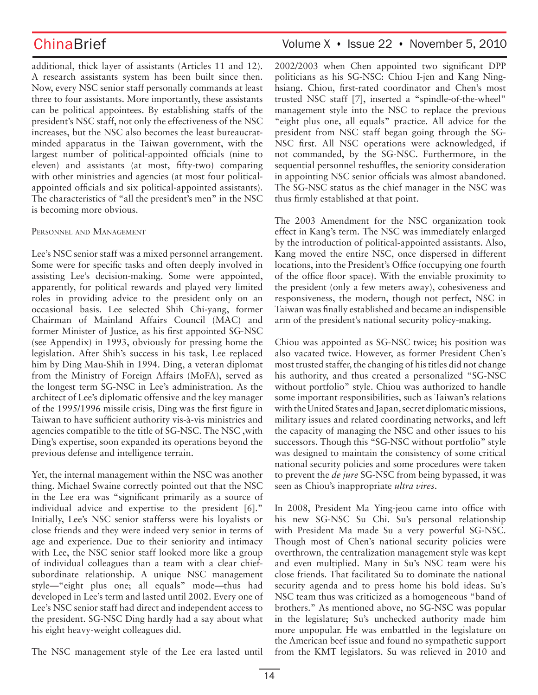additional, thick layer of assistants (Articles 11 and 12). A research assistants system has been built since then. Now, every NSC senior staff personally commands at least three to four assistants. More importantly, these assistants can be political appointees. By establishing staffs of the president's NSC staff, not only the effectiveness of the NSC increases, but the NSC also becomes the least bureaucratminded apparatus in the Taiwan government, with the largest number of political-appointed officials (nine to eleven) and assistants (at most, fifty-two) comparing with other ministries and agencies (at most four politicalappointed officials and six political-appointed assistants). The characteristics of "all the president's men" in the NSC is becoming more obvious.

### Personnel and Management

Lee's NSC senior staff was a mixed personnel arrangement. Some were for specific tasks and often deeply involved in assisting Lee's decision-making. Some were appointed, apparently, for political rewards and played very limited roles in providing advice to the president only on an occasional basis. Lee selected Shih Chi-yang, former Chairman of Mainland Affairs Council (MAC) and former Minister of Justice, as his first appointed SG-NSC (see Appendix) in 1993, obviously for pressing home the legislation. After Shih's success in his task, Lee replaced him by Ding Mau-Shih in 1994. Ding, a veteran diplomat from the Ministry of Foreign Affairs (MoFA), served as the longest term SG-NSC in Lee's administration. As the architect of Lee's diplomatic offensive and the key manager of the 1995/1996 missile crisis, Ding was the first figure in Taiwan to have sufficient authority vis-à-vis ministries and agencies compatible to the title of SG-NSC. The NSC ,with Ding's expertise, soon expanded its operations beyond the previous defense and intelligence terrain.

Yet, the internal management within the NSC was another thing. Michael Swaine correctly pointed out that the NSC in the Lee era was "significant primarily as a source of individual advice and expertise to the president [6]." Initially, Lee's NSC senior stafferss were his loyalists or close friends and they were indeed very senior in terms of age and experience. Due to their seniority and intimacy with Lee, the NSC senior staff looked more like a group of individual colleagues than a team with a clear chiefsubordinate relationship. A unique NSC management style—"eight plus one; all equals" mode—thus had developed in Lee's term and lasted until 2002. Every one of Lee's NSC senior staff had direct and independent access to the president. SG-NSC Ding hardly had a say about what his eight heavy-weight colleagues did.

ChinaBrief Volume X · Issue 22 · November 5, 2010

2002/2003 when Chen appointed two significant DPP politicians as his SG-NSC: Chiou I-jen and Kang Ninghsiang. Chiou, first-rated coordinator and Chen's most trusted NSC staff [7], inserted a "spindle-of-the-wheel" management style into the NSC to replace the previous "eight plus one, all equals" practice. All advice for the president from NSC staff began going through the SG-NSC first. All NSC operations were acknowledged, if not commanded, by the SG-NSC. Furthermore, in the sequential personnel reshuffles, the seniority consideration in appointing NSC senior officials was almost abandoned. The SG-NSC status as the chief manager in the NSC was thus firmly established at that point.

The 2003 Amendment for the NSC organization took effect in Kang's term. The NSC was immediately enlarged by the introduction of political-appointed assistants. Also, Kang moved the entire NSC, once dispersed in different locations, into the President's Office (occupying one fourth of the office floor space). With the enviable proximity to the president (only a few meters away), cohesiveness and responsiveness, the modern, though not perfect, NSC in Taiwan was finally established and became an indispensible arm of the president's national security policy-making.

Chiou was appointed as SG-NSC twice; his position was also vacated twice. However, as former President Chen's most trusted staffer, the changing of his titles did not change his authority, and thus created a personalized "SG-NSC without portfolio" style. Chiou was authorized to handle some important responsibilities, such as Taiwan's relations with the United States and Japan, secret diplomatic missions, military issues and related coordinating networks, and left the capacity of managing the NSC and other issues to his successors. Though this "SG-NSC without portfolio" style was designed to maintain the consistency of some critical national security policies and some procedures were taken to prevent the *de jure* SG-NSC from being bypassed, it was seen as Chiou's inappropriate *ultra vires*.

In 2008, President Ma Ying-jeou came into office with his new SG-NSC Su Chi. Su's personal relationship with President Ma made Su a very powerful SG-NSC. Though most of Chen's national security policies were overthrown, the centralization management style was kept and even multiplied. Many in Su's NSC team were his close friends. That facilitated Su to dominate the national security agenda and to press home his bold ideas. Su's NSC team thus was criticized as a homogeneous "band of brothers." As mentioned above, no SG-NSC was popular in the legislature; Su's unchecked authority made him more unpopular. He was embattled in the legislature on the American beef issue and found no sympathetic support from the KMT legislators. Su was relieved in 2010 and

The NSC management style of the Lee era lasted until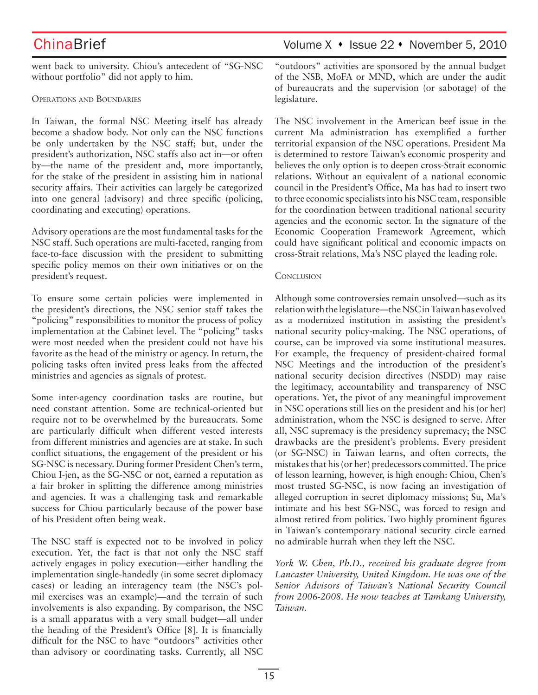went back to university. Chiou's antecedent of "SG-NSC without portfolio" did not apply to him.

### Operations and Boundaries

In Taiwan, the formal NSC Meeting itself has already become a shadow body. Not only can the NSC functions be only undertaken by the NSC staff; but, under the president's authorization, NSC staffs also act in—or often by—the name of the president and, more importantly, for the stake of the president in assisting him in national security affairs. Their activities can largely be categorized into one general (advisory) and three specific (policing, coordinating and executing) operations.

Advisory operations are the most fundamental tasks for the NSC staff. Such operations are multi-faceted, ranging from face-to-face discussion with the president to submitting specific policy memos on their own initiatives or on the president's request.

To ensure some certain policies were implemented in the president's directions, the NSC senior staff takes the "policing" responsibilities to monitor the process of policy implementation at the Cabinet level. The "policing" tasks were most needed when the president could not have his favorite as the head of the ministry or agency. In return, the policing tasks often invited press leaks from the affected ministries and agencies as signals of protest.

Some inter-agency coordination tasks are routine, but need constant attention. Some are technical-oriented but require not to be overwhelmed by the bureaucrats. Some are particularly difficult when different vested interests from different ministries and agencies are at stake. In such conflict situations, the engagement of the president or his SG-NSC is necessary. During former President Chen's term, Chiou I-jen, as the SG-NSC or not, earned a reputation as a fair broker in splitting the difference among ministries and agencies. It was a challenging task and remarkable success for Chiou particularly because of the power base of his President often being weak.

The NSC staff is expected not to be involved in policy execution. Yet, the fact is that not only the NSC staff actively engages in policy execution—either handling the implementation single-handedly (in some secret diplomacy cases) or leading an interagency team (the NSC's polmil exercises was an example)—and the terrain of such involvements is also expanding. By comparison, the NSC is a small apparatus with a very small budget—all under the heading of the President's Office [8]. It is financially difficult for the NSC to have "outdoors" activities other than advisory or coordinating tasks. Currently, all NSC

## ChinaBrief Volume X • Issue 22 • November 5, 2010

"outdoors" activities are sponsored by the annual budget of the NSB, MoFA or MND, which are under the audit of bureaucrats and the supervision (or sabotage) of the legislature.

The NSC involvement in the American beef issue in the current Ma administration has exemplified a further territorial expansion of the NSC operations. President Ma is determined to restore Taiwan's economic prosperity and believes the only option is to deepen cross-Strait economic relations. Without an equivalent of a national economic council in the President's Office, Ma has had to insert two to three economic specialists into his NSC team, responsible for the coordination between traditional national security agencies and the economic sector. In the signature of the Economic Cooperation Framework Agreement, which could have significant political and economic impacts on cross-Strait relations, Ma's NSC played the leading role.

### **CONCLUSION**

Although some controversies remain unsolved—such as its relation with the legislature—the NSC in Taiwan has evolved as a modernized institution in assisting the president's national security policy-making. The NSC operations, of course, can be improved via some institutional measures. For example, the frequency of president-chaired formal NSC Meetings and the introduction of the president's national security decision directives (NSDD) may raise the legitimacy, accountability and transparency of NSC operations. Yet, the pivot of any meaningful improvement in NSC operations still lies on the president and his (or her) administration, whom the NSC is designed to serve. After all, NSC supremacy is the presidency supremacy; the NSC drawbacks are the president's problems. Every president (or SG-NSC) in Taiwan learns, and often corrects, the mistakes that his (or her) predecessors committed. The price of lesson learning, however, is high enough: Chiou, Chen's most trusted SG-NSC, is now facing an investigation of alleged corruption in secret diplomacy missions; Su, Ma's intimate and his best SG-NSC, was forced to resign and almost retired from politics. Two highly prominent figures in Taiwan's contemporary national security circle earned no admirable hurrah when they left the NSC.

*York W. Chen, Ph.D., received his graduate degree from Lancaster University, United Kingdom. He was one of the Senior Advisors of Taiwan's National Security Council from 2006-2008. He now teaches at Tamkang University, Taiwan.*